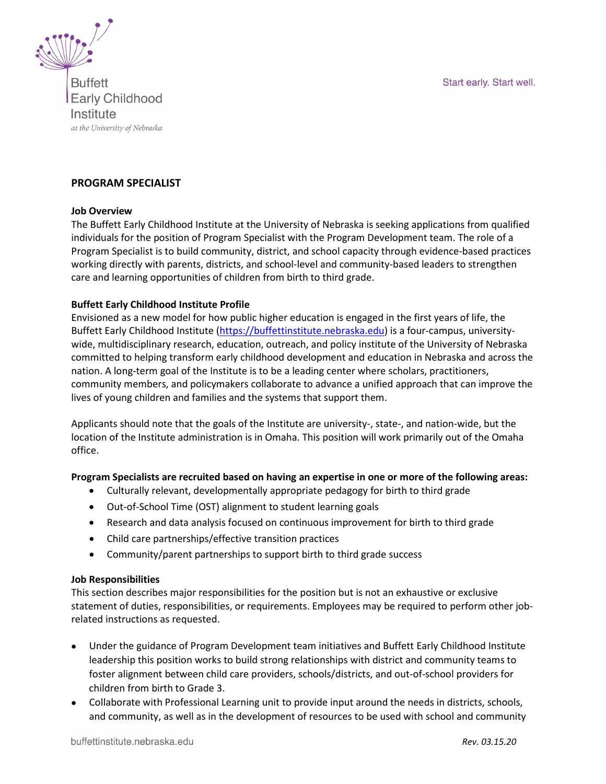Start early. Start well.



**Buffett Early Childhood** Institute at the University of Nebraska

# **PROGRAM SPECIALIST**

#### **Job Overview**

The Buffett Early Childhood Institute at the University of Nebraska is seeking applications from qualified individuals for the position of Program Specialist with the Program Development team. The role of a Program Specialist is to build community, district, and school capacity through evidence-based practices working directly with parents, districts, and school-level and community-based leaders to strengthen care and learning opportunities of children from birth to third grade.

#### **Buffett Early Childhood Institute Profile**

Envisioned as a new model for how public higher education is engaged in the first years of life, the Buffett Early Childhood Institute [\(https://buffettinstitute.nebraska.edu\)](https://buffettinstitute.nebraska.edu/) is a four-campus, universitywide, multidisciplinary research, education, outreach, and policy institute of the University of Nebraska committed to helping transform early childhood development and education in Nebraska and across the nation. A long-term goal of the Institute is to be a leading center where scholars, practitioners, community members, and policymakers collaborate to advance a unified approach that can improve the lives of young children and families and the systems that support them.

Applicants should note that the goals of the Institute are university-, state-, and nation-wide, but the location of the Institute administration is in Omaha. This position will work primarily out of the Omaha office.

#### **Program Specialists are recruited based on having an expertise in one or more of the following areas:**

- Culturally relevant, developmentally appropriate pedagogy for birth to third grade
- Out-of-School Time (OST) alignment to student learning goals
- Research and data analysis focused on continuous improvement for birth to third grade
- Child care partnerships/effective transition practices
- Community/parent partnerships to support birth to third grade success

#### **Job Responsibilities**

This section describes major responsibilities for the position but is not an exhaustive or exclusive statement of duties, responsibilities, or requirements. Employees may be required to perform other jobrelated instructions as requested.

- Under the guidance of Program Development team initiatives and Buffett Early Childhood Institute leadership this position works to build strong relationships with district and community teams to foster alignment between child care providers, schools/districts, and out-of-school providers for children from birth to Grade 3.
- Collaborate with Professional Learning unit to provide input around the needs in districts, schools, and community, as well as in the development of resources to be used with school and community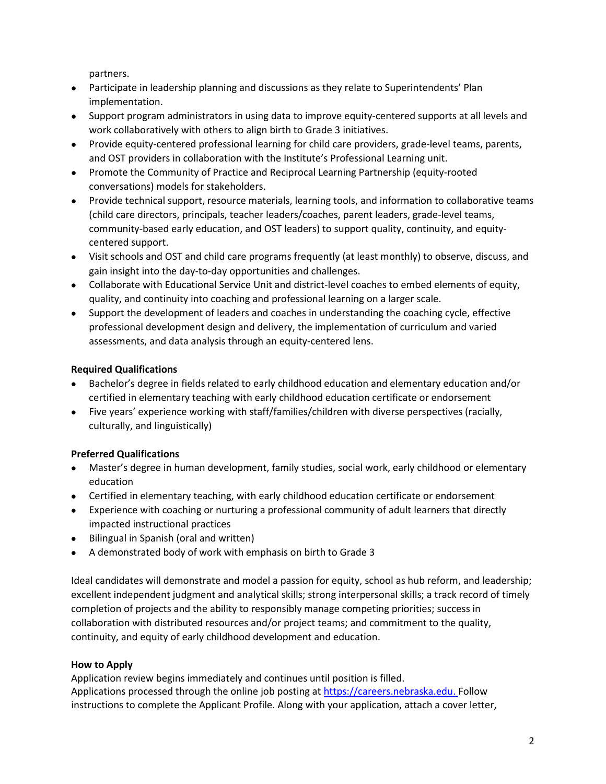partners.

- Participate in leadership planning and discussions as they relate to Superintendents' Plan implementation.
- Support program administrators in using data to improve equity-centered supports at all levels and work collaboratively with others to align birth to Grade 3 initiatives.
- Provide equity-centered professional learning for child care providers, grade-level teams, parents, and OST providers in collaboration with the Institute's Professional Learning unit.
- Promote the Community of Practice and Reciprocal Learning Partnership (equity-rooted conversations) models for stakeholders.
- Provide technical support, resource materials, learning tools, and information to collaborative teams (child care directors, principals, teacher leaders/coaches, parent leaders, grade-level teams, community-based early education, and OST leaders) to support quality, continuity, and equitycentered support.
- Visit schools and OST and child care programs frequently (at least monthly) to observe, discuss, and gain insight into the day-to-day opportunities and challenges.
- Collaborate with Educational Service Unit and district-level coaches to embed elements of equity, quality, and continuity into coaching and professional learning on a larger scale.
- Support the development of leaders and coaches in understanding the coaching cycle, effective professional development design and delivery, the implementation of curriculum and varied assessments, and data analysis through an equity-centered lens.

# **Required Qualifications**

- Bachelor's degree in fields related to early childhood education and elementary education and/or certified in elementary teaching with early childhood education certificate or endorsement
- Five years' experience working with staff/families/children with diverse perspectives (racially, culturally, and linguistically)

# **Preferred Qualifications**

- Master's degree in human development, family studies, social work, early childhood or elementary education
- Certified in elementary teaching, with early childhood education certificate or endorsement
- Experience with coaching or nurturing a professional community of adult learners that directly impacted instructional practices
- Bilingual in Spanish (oral and written)
- A demonstrated body of work with emphasis on birth to Grade 3

Ideal candidates will demonstrate and model a passion for equity, school as hub reform, and leadership; excellent independent judgment and analytical skills; strong interpersonal skills; a track record of timely completion of projects and the ability to responsibly manage competing priorities; success in collaboration with distributed resources and/or project teams; and commitment to the quality, continuity, and equity of early childhood development and education.

## **How to Apply**

Application review begins immediately and continues until position is filled. Applications processed through the online job posting at [https://careers.nebraska.edu.](https://careers.nebraska.edu/) Follow instructions to complete the Applicant Profile. Along with your application, attach a cover letter,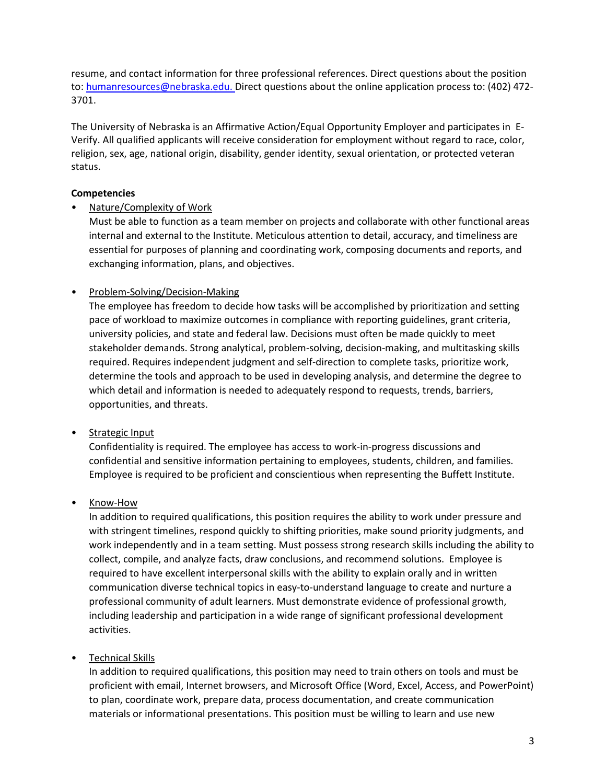resume, and contact information for three professional references. Direct questions about the position to: [humanresources@nebraska.edu.](mailto:humanresources@nebraska.edu) Direct questions about the online application process to: (402) 472-3701.

The University of Nebraska is an Affirmative Action/Equal Opportunity Employer and participates in E-Verify. All qualified applicants will receive consideration for employment without regard to race, color, religion, sex, age, national origin, disability, gender identity, sexual orientation, or protected veteran status.

### **Competencies**

#### • Nature/Complexity of Work

Must be able to function as a team member on projects and collaborate with other functional areas internal and external to the Institute. Meticulous attention to detail, accuracy, and timeliness are essential for purposes of planning and coordinating work, composing documents and reports, and exchanging information, plans, and objectives.

### • Problem-Solving/Decision-Making

The employee has freedom to decide how tasks will be accomplished by prioritization and setting pace of workload to maximize outcomes in compliance with reporting guidelines, grant criteria, university policies, and state and federal law. Decisions must often be made quickly to meet stakeholder demands. Strong analytical, problem-solving, decision-making, and multitasking skills required. Requires independent judgment and self-direction to complete tasks, prioritize work, determine the tools and approach to be used in developing analysis, and determine the degree to which detail and information is needed to adequately respond to requests, trends, barriers, opportunities, and threats.

## • Strategic Input

Confidentiality is required. The employee has access to work-in-progress discussions and confidential and sensitive information pertaining to employees, students, children, and families. Employee is required to be proficient and conscientious when representing the Buffett Institute.

## • Know-How

In addition to required qualifications, this position requires the ability to work under pressure and with stringent timelines, respond quickly to shifting priorities, make sound priority judgments, and work independently and in a team setting. Must possess strong research skills including the ability to collect, compile, and analyze facts, draw conclusions, and recommend solutions. Employee is required to have excellent interpersonal skills with the ability to explain orally and in written communication diverse technical topics in easy-to-understand language to create and nurture a professional community of adult learners. Must demonstrate evidence of professional growth, including leadership and participation in a wide range of significant professional development activities.

## • Technical Skills

In addition to required qualifications, this position may need to train others on tools and must be proficient with email, Internet browsers, and Microsoft Office (Word, Excel, Access, and PowerPoint) to plan, coordinate work, prepare data, process documentation, and create communication materials or informational presentations. This position must be willing to learn and use new